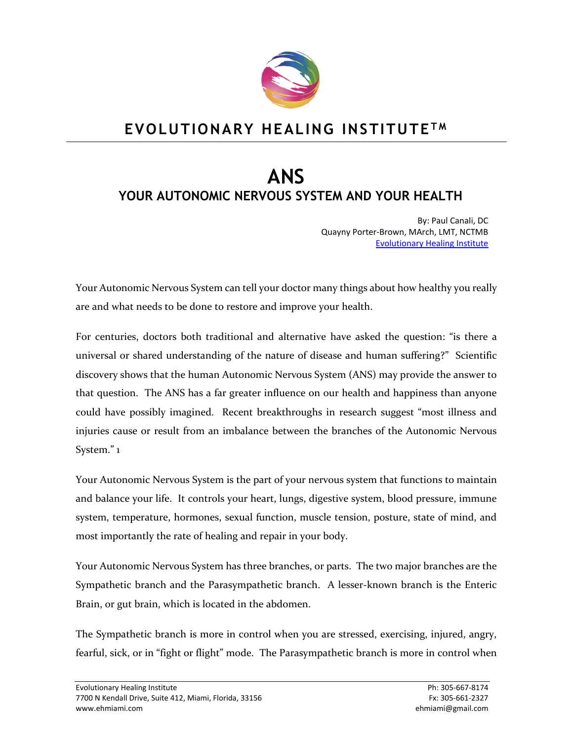

## **EVOLUTIONARY HEALING INSTITUTE T M**

# **ANS YOUR AUTONOMIC NERVOUS SYSTEM AND YOUR HEALTH**

By: Paul Canali, DC Quayny Porter-Brown, MArch, LMT, NCTMB [Evolutionary Healing Institute](http://www.ehmiami.com/)

Your Autonomic Nervous System can tell your doctor many things about how healthy you really are and what needs to be done to restore and improve your health.

For centuries, doctors both traditional and alternative have asked the question: "is there a universal or shared understanding of the nature of disease and human suffering?" Scientific discovery shows that the human Autonomic Nervous System (ANS) may provide the answer to that question. The ANS has a far greater influence on our health and happiness than anyone could have possibly imagined. Recent breakthroughs in research suggest "most illness and injuries cause or result from an imbalance between the branches of the Autonomic Nervous System." 1

Your Autonomic Nervous System is the part of your nervous system that functions to maintain and balance your life. It controls your heart, lungs, digestive system, blood pressure, immune system, temperature, hormones, sexual function, muscle tension, posture, state of mind, and most importantly the rate of healing and repair in your body.

Your Autonomic Nervous System has three branches, or parts. The two major branches are the Sympathetic branch and the Parasympathetic branch. A lesser-known branch is the Enteric Brain, or gut brain, which is located in the abdomen.

The Sympathetic branch is more in control when you are stressed, exercising, injured, angry, fearful, sick, or in "fight or flight" mode. The Parasympathetic branch is more in control when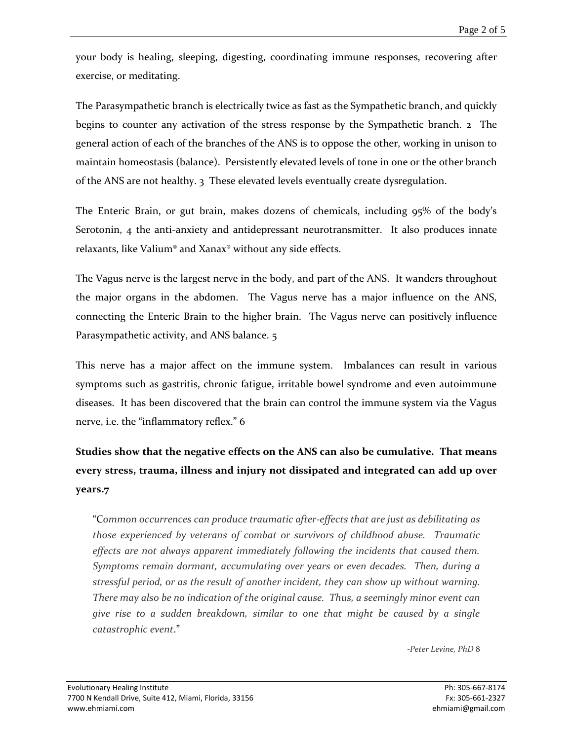your body is healing, sleeping, digesting, coordinating immune responses, recovering after exercise, or meditating.

The Parasympathetic branch is electrically twice as fast as the Sympathetic branch, and quickly begins to counter any activation of the stress response by the Sympathetic branch. 2 The general action of each of the branches of the ANS is to oppose the other, working in unison to maintain homeostasis (balance). Persistently elevated levels of tone in one or the other branch of the ANS are not healthy. 3 These elevated levels eventually create dysregulation.

The Enteric Brain, or gut brain, makes dozens of chemicals, including 95% of the body's Serotonin, 4 the anti-anxiety and antidepressant neurotransmitter. It also produces innate relaxants, like Valium® and Xanax® without any side effects.

The Vagus nerve is the largest nerve in the body, and part of the ANS. It wanders throughout the major organs in the abdomen. The Vagus nerve has a major influence on the ANS, connecting the Enteric Brain to the higher brain. The Vagus nerve can positively influence Parasympathetic activity, and ANS balance. 5

This nerve has a major affect on the immune system. Imbalances can result in various symptoms such as gastritis, chronic fatigue, irritable bowel syndrome and even autoimmune diseases. It has been discovered that the brain can control the immune system via the Vagus nerve, i.e. the "inflammatory reflex." 6

## **Studies show that the negative effects on the ANS can also be cumulative. That means every stress, trauma, illness and injury not dissipated and integrated can add up over years.7**

"C*ommon occurrences can produce traumatic after-effects that are just as debilitating as those experienced by veterans of combat or survivors of childhood abuse. Traumatic effects are not always apparent immediately following the incidents that caused them. Symptoms remain dormant, accumulating over years or even decades. Then, during a stressful period, or as the result of another incident, they can show up without warning. There may also be no indication of the original cause. Thus, a seemingly minor event can give rise to a sudden breakdown, similar to one that might be caused by a single catastrophic event*."

*-Peter Levine, PhD* 8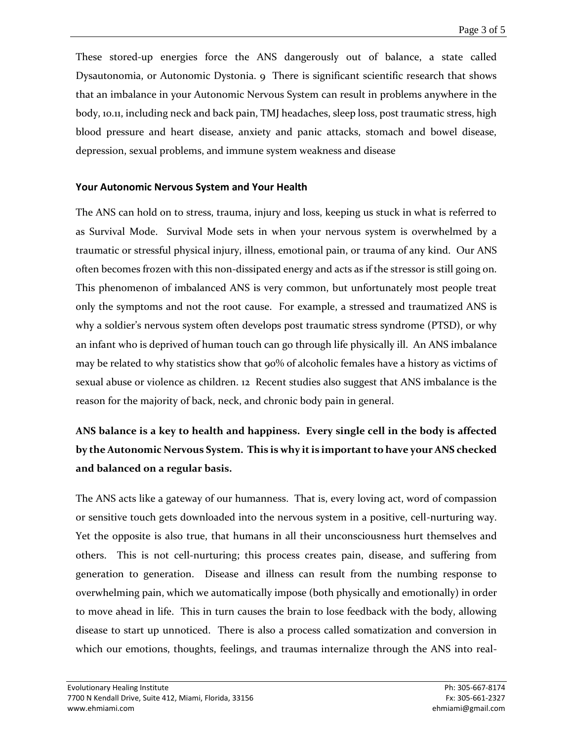These stored-up energies force the ANS dangerously out of balance, a state called Dysautonomia, or Autonomic Dystonia. 9 There is significant scientific research that shows that an imbalance in your Autonomic Nervous System can result in problems anywhere in the body, 10.11, including neck and back pain, TMJ headaches, sleep loss, post traumatic stress, high blood pressure and heart disease, anxiety and panic attacks, stomach and bowel disease, depression, sexual problems, and immune system weakness and disease

#### **Your Autonomic Nervous System and Your Health**

The ANS can hold on to stress, trauma, injury and loss, keeping us stuck in what is referred to as Survival Mode. Survival Mode sets in when your nervous system is overwhelmed by a traumatic or stressful physical injury, illness, emotional pain, or trauma of any kind. Our ANS often becomes frozen with this non-dissipated energy and acts as if the stressor is still going on. This phenomenon of imbalanced ANS is very common, but unfortunately most people treat only the symptoms and not the root cause. For example, a stressed and traumatized ANS is why a soldier's nervous system often develops post traumatic stress syndrome (PTSD), or why an infant who is deprived of human touch can go through life physically ill. An ANS imbalance may be related to why statistics show that  $90\%$  of alcoholic females have a history as victims of sexual abuse or violence as children. 12 Recent studies also suggest that ANS imbalance is the reason for the majority of back, neck, and chronic body pain in general.

### **ANS balance is a key to health and happiness. Every single cell in the body is affected by the Autonomic Nervous System. This is why it is important to have your ANS checked and balanced on a regular basis.**

The ANS acts like a gateway of our humanness. That is, every loving act, word of compassion or sensitive touch gets downloaded into the nervous system in a positive, cell-nurturing way. Yet the opposite is also true, that humans in all their unconsciousness hurt themselves and others. This is not cell-nurturing; this process creates pain, disease, and suffering from generation to generation. Disease and illness can result from the numbing response to overwhelming pain, which we automatically impose (both physically and emotionally) in order to move ahead in life. This in turn causes the brain to lose feedback with the body, allowing disease to start up unnoticed. There is also a process called somatization and conversion in which our emotions, thoughts, feelings, and traumas internalize through the ANS into real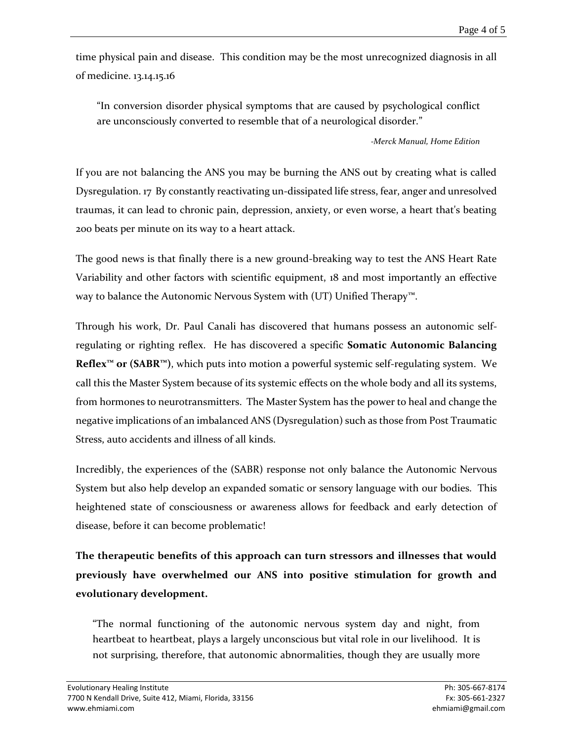time physical pain and disease. This condition may be the most unrecognized diagnosis in all of medicine. 13.14.15.16

"In conversion disorder physical symptoms that are caused by psychological conflict are unconsciously converted to resemble that of a neurological disorder."

#### *-Merck Manual, Home Edition*

If you are not balancing the ANS you may be burning the ANS out by creating what is called Dysregulation. 17 By constantly reactivating un-dissipated life stress, fear, anger and unresolved traumas, it can lead to chronic pain, depression, anxiety, or even worse, a heart that's beating 200 beats per minute on its way to a heart attack.

The good news is that finally there is a new ground-breaking way to test the ANS Heart Rate Variability and other factors with scientific equipment, 18 and most importantly an effective way to balance the Autonomic Nervous System with (UT) Unified Therapy<sup>™</sup>.

Through his work, Dr. Paul Canali has discovered that humans possess an autonomic selfregulating or righting reflex. He has discovered a specific **Somatic Autonomic Balancing Reflex™ or (SABR™)**, which puts into motion a powerful systemic self-regulating system. We call this the Master System because of its systemic effects on the whole body and all its systems, from hormones to neurotransmitters. The Master System has the power to heal and change the negative implications of an imbalanced ANS (Dysregulation) such as those from Post Traumatic Stress, auto accidents and illness of all kinds.

Incredibly, the experiences of the (SABR) response not only balance the Autonomic Nervous System but also help develop an expanded somatic or sensory language with our bodies. This heightened state of consciousness or awareness allows for feedback and early detection of disease, before it can become problematic!

**The therapeutic benefits of this approach can turn stressors and illnesses that would previously have overwhelmed our ANS into positive stimulation for growth and evolutionary development.**

"The normal functioning of the autonomic nervous system day and night, from heartbeat to heartbeat, plays a largely unconscious but vital role in our livelihood. It is not surprising, therefore, that autonomic abnormalities, though they are usually more